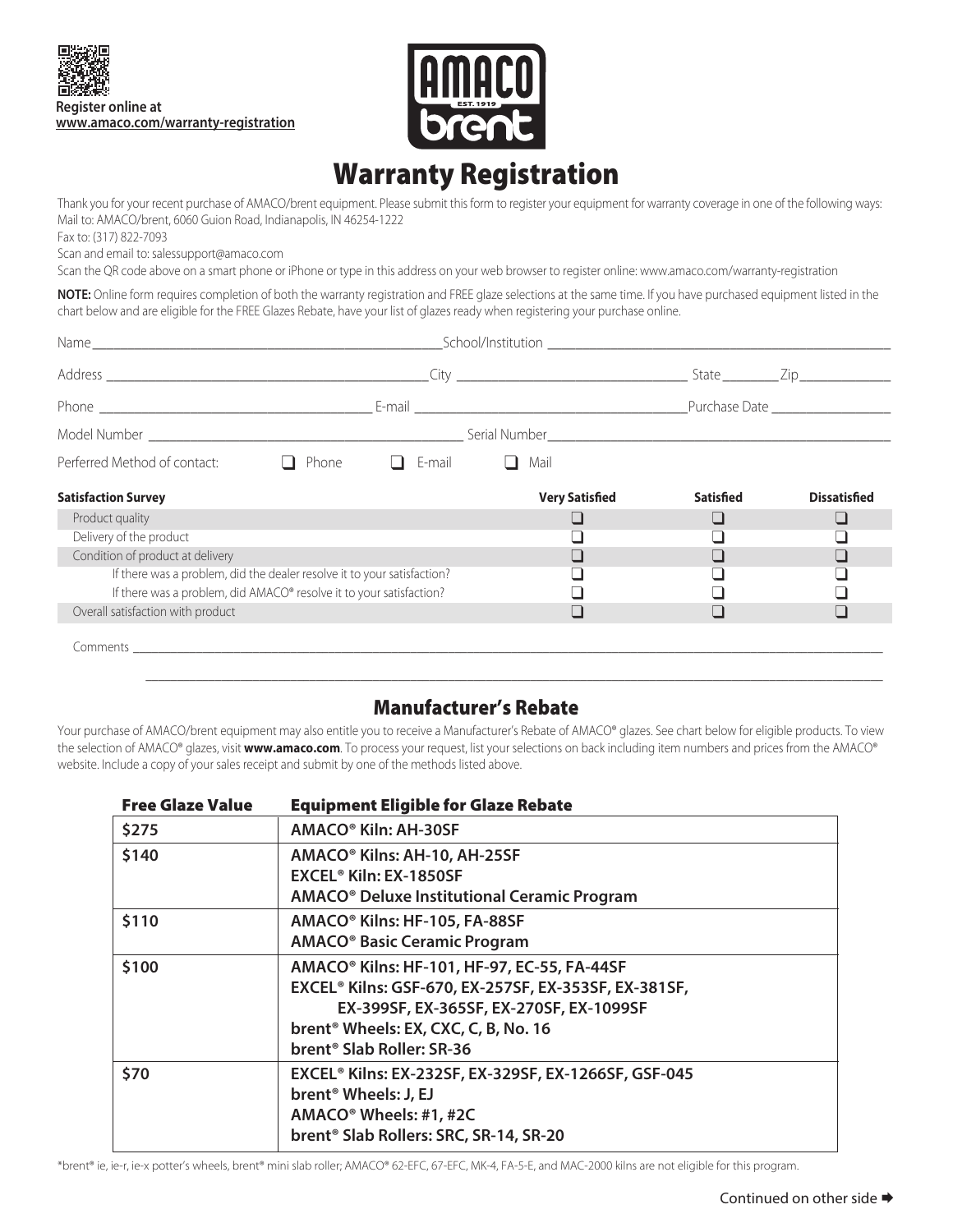



## Warranty Registration

Thank you for your recent purchase of AMACO/brent equipment. Please submit this form to register your equipment for warranty coverage in one of the following ways: Mail to: AMACO/brent, 6060 Guion Road, Indianapolis, IN 46254-1222

Fax to: (317) 822-7093

Scan and email to: salessupport@amaco.com

Scan the QR code above on a smart phone or iPhone or type in this address on your web browser to register online: www.amaco.com/warranty-registration

**NOTE:** Online form requires completion of both the warranty registration and FREE glaze selections at the same time. If you have purchased equipment listed in the chart below and are eligible for the FREE Glazes Rebate, have your list of glazes ready when registering your purchase online.

| Perferred Method of contact:                                            |  | Phone $\Box$ E-mail | Mail                  |           |                     |  |
|-------------------------------------------------------------------------|--|---------------------|-----------------------|-----------|---------------------|--|
| <b>Satisfaction Survey</b>                                              |  |                     | <b>Very Satisfied</b> | Satisfied | <b>Dissatisfied</b> |  |
| Product quality                                                         |  |                     |                       |           |                     |  |
| Delivery of the product                                                 |  |                     |                       |           |                     |  |
| Condition of product at delivery                                        |  |                     |                       |           |                     |  |
| If there was a problem, did the dealer resolve it to your satisfaction? |  |                     |                       |           |                     |  |
| If there was a problem, did AMACO® resolve it to your satisfaction?     |  |                     |                       |           |                     |  |
| Overall satisfaction with product                                       |  |                     |                       |           |                     |  |
|                                                                         |  |                     |                       |           |                     |  |

## Manufacturer's Rebate

Your purchase of AMACO/brent equipment may also entitle you to receive a Manufacturer's Rebate of AMACO® glazes. See chart below for eligible products. To view the selection of AMACO® glazes, visit **www.amaco.com**. To process your request, list your selections on back including item numbers and prices from the AMACO® website. Include a copy of your sales receipt and submit by one of the methods listed above.

| <b>Free Glaze Value</b> | <b>Equipment Eligible for Glaze Rebate</b>                                                                                                                                                                                                              |  |  |  |  |
|-------------------------|---------------------------------------------------------------------------------------------------------------------------------------------------------------------------------------------------------------------------------------------------------|--|--|--|--|
| \$275                   | AMACO <sup>®</sup> Kiln: AH-30SF                                                                                                                                                                                                                        |  |  |  |  |
| \$140                   | AMACO <sup>®</sup> Kilns: AH-10, AH-25SF<br>EXCEL <sup>®</sup> Kiln: EX-1850SF<br>AMACO <sup>®</sup> Deluxe Institutional Ceramic Program                                                                                                               |  |  |  |  |
| \$110                   | AMACO <sup>®</sup> Kilns: HF-105, FA-88SF<br><b>AMACO<sup>®</sup> Basic Ceramic Program</b>                                                                                                                                                             |  |  |  |  |
| \$100                   | AMACO <sup>®</sup> Kilns: HF-101, HF-97, EC-55, FA-44SF<br>EXCEL® Kilns: GSF-670, EX-257SF, EX-353SF, EX-381SF,<br>EX-399SF, EX-365SF, EX-270SF, EX-1099SF<br>brent <sup>®</sup> Wheels: EX, CXC, C, B, No. 16<br>brent <sup>®</sup> Slab Roller: SR-36 |  |  |  |  |
| \$70                    | EXCEL® Kilns: EX-232SF, EX-329SF, EX-1266SF, GSF-045<br>brent <sup>®</sup> Wheels: J, EJ<br>AMACO <sup>®</sup> Wheels: #1, #2C<br>brent <sup>®</sup> Slab Rollers: SRC, SR-14, SR-20                                                                    |  |  |  |  |

\*brent® ie, ie-r, ie-x potter's wheels, brent® mini slab roller; AMACO® 62-EFC, 67-EFC, MK-4, FA-5-E, and MAC-2000 kilns are not eligible for this program.